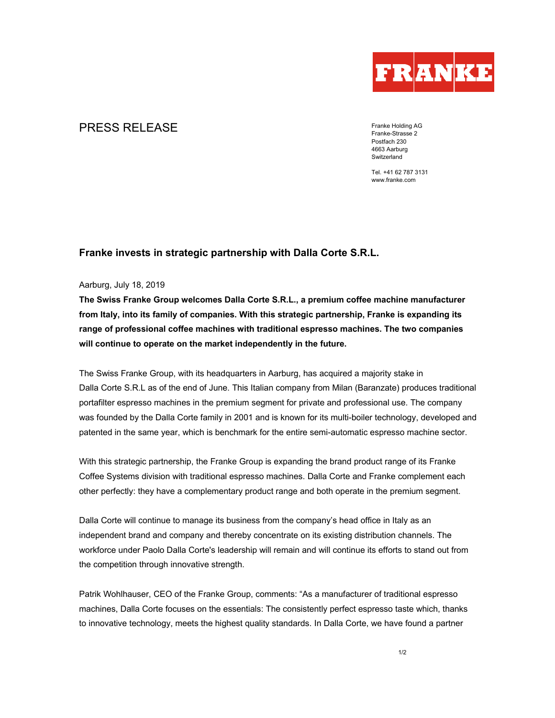

# **PRESS RELEASE** Franke Holding AG

Franke-Strasse 2 Postfach 230 4663 Aarburg **Switzerland** 

Tel. +41 62 787 3131 www.franke.com

## **Franke invests in strategic partnership with Dalla Corte S.R.L.**

### Aarburg, July 18, 2019

**The Swiss Franke Group welcomes Dalla Corte S.R.L., a premium coffee machine manufacturer from Italy, into its family of companies. With this strategic partnership, Franke is expanding its range of professional coffee machines with traditional espresso machines. The two companies will continue to operate on the market independently in the future.** 

The Swiss Franke Group, with its headquarters in Aarburg, has acquired a majority stake in Dalla Corte S.R.L as of the end of June. This Italian company from Milan (Baranzate) produces traditional portafilter espresso machines in the premium segment for private and professional use. The company was founded by the Dalla Corte family in 2001 and is known for its multi-boiler technology, developed and patented in the same year, which is benchmark for the entire semi-automatic espresso machine sector.

With this strategic partnership, the Franke Group is expanding the brand product range of its Franke Coffee Systems division with traditional espresso machines. Dalla Corte and Franke complement each other perfectly: they have a complementary product range and both operate in the premium segment.

Dalla Corte will continue to manage its business from the company's head office in Italy as an independent brand and company and thereby concentrate on its existing distribution channels. The workforce under Paolo Dalla Corte's leadership will remain and will continue its efforts to stand out from the competition through innovative strength.

Patrik Wohlhauser, CEO of the Franke Group, comments: "As a manufacturer of traditional espresso machines, Dalla Corte focuses on the essentials: The consistently perfect espresso taste which, thanks to innovative technology, meets the highest quality standards. In Dalla Corte, we have found a partner